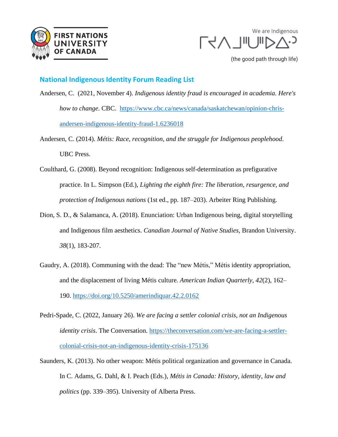



(the good path through life)

## **National Indigenous Identity Forum Reading List**

- Andersen, C. (2021, November 4). *Indigenous identity fraud is encouraged in academia. Here's how to change*. CBC. [https://www.cbc.ca/news/canada/saskatchewan/opinion-chris](https://www.cbc.ca/news/canada/saskatchewan/opinion-chris-andersen-indigenous-identity-fraud-1.6236018)[andersen-indigenous-identity-fraud-1.6236018](https://www.cbc.ca/news/canada/saskatchewan/opinion-chris-andersen-indigenous-identity-fraud-1.6236018)
- Andersen, C. (2014). *Métis: Race, recognition, and the struggle for Indigenous peoplehood*. UBC Press.
- Coulthard, G. (2008). Beyond recognition: Indigenous self-determination as prefigurative practice. In L. Simpson (Ed.), *Lighting the eighth fire: The liberation, resurgence, and protection of Indigenous nations* (1st ed., pp. 187–203). Arbeiter Ring Publishing.
- Dion, S. D., & Salamanca, A. (2018). Enunciation: Urban Indigenous being, digital storytelling and Indigenous film aesthetics. *Canadian Journal of Native Studies*, Brandon University. *38*(1), 183-207.
- Gaudry, A. (2018). Communing with the dead: The "new Métis," Métis identity appropriation, and the displacement of living Métis culture. *American Indian Quarterly*, *42*(2), 162– 190.<https://doi.org/10.5250/amerindiquar.42.2.0162>
- Pedri-Spade, C. (2022, January 26). *We are facing a settler colonial crisis, not an Indigenous identity crisis*. The Conversation. [https://theconversation.com/we-are-facing-a-settler](https://theconversation.com/we-are-facing-a-settler-colonial-crisis-not-an-indigenous-identity-crisis-175136)[colonial-crisis-not-an-indigenous-identity-crisis-175136](https://theconversation.com/we-are-facing-a-settler-colonial-crisis-not-an-indigenous-identity-crisis-175136)
- Saunders, K. (2013). No other weapon: Métis political organization and governance in Canada. In C. Adams, G. Dahl, & I. Peach (Eds.), *Métis in Canada: History, identity, law and politics* (pp. 339–395). University of Alberta Press.